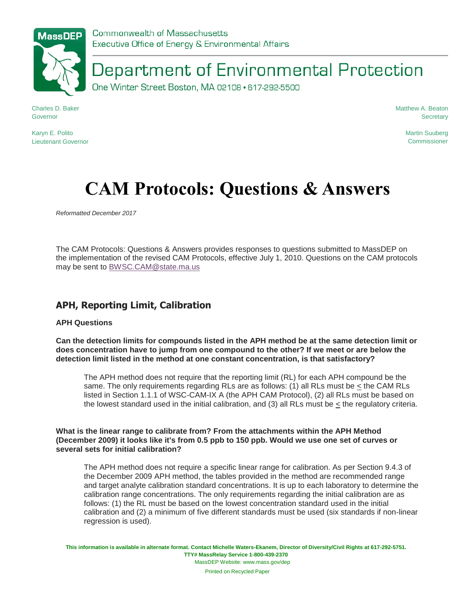Department of Environmental Protection

One Winter Street Boston, MA 02108 · 617-292-5500

Charles D. Baker Governor

Matthew A. Beaton **Secretary** 

Karyn E. Polito Lieutenant Governor Martin Suuberg **Commissioner** 

# **CAM Protocols: Questions & Answers**

*Reformatted December 2017*

The CAM Protocols: Questions & Answers provides responses to questions submitted to MassDEP on the implementation of the revised CAM Protocols, effective July 1, 2010. Questions on the CAM protocols may be sent to [BWSC.CAM@state.ma.us](mailto:BWSC.CAM@state.ma.us)

## **APH, Reporting Limit, Calibration**

#### **APH Questions**

**Can the detection limits for compounds listed in the APH method be at the same detection limit or does concentration have to jump from one compound to the other? If we meet or are below the detection limit listed in the method at one constant concentration, is that satisfactory?**

The APH method does not require that the reporting limit (RL) for each APH compound be the same. The only requirements regarding RLs are as follows: (1) all RLs must be < the CAM RLs listed in Section 1.1.1 of WSC-CAM-IX A (the APH CAM Protocol), (2) all RLs must be based on the lowest standard used in the initial calibration, and (3) all RLs must be < the regulatory criteria.

**What is the linear range to calibrate from? From the attachments within the APH Method (December 2009) it looks like it's from 0.5 ppb to 150 ppb. Would we use one set of curves or several sets for initial calibration?**

The APH method does not require a specific linear range for calibration. As per Section 9.4.3 of the December 2009 APH method, the tables provided in the method are recommended range and target analyte calibration standard concentrations. It is up to each laboratory to determine the calibration range concentrations. The only requirements regarding the initial calibration are as follows: (1) the RL must be based on the lowest concentration standard used in the initial calibration and (2) a minimum of five different standards must be used (six standards if non-linear regression is used).

**This information is available in alternate format. Contact Michelle Waters-Ekanem, Director of Diversity/Civil Rights at 617-292-5751. TTY# MassRelay Service 1-800-439-2370** MassDEP Website: www.mass.gov/dep

Printed on Recycled Paper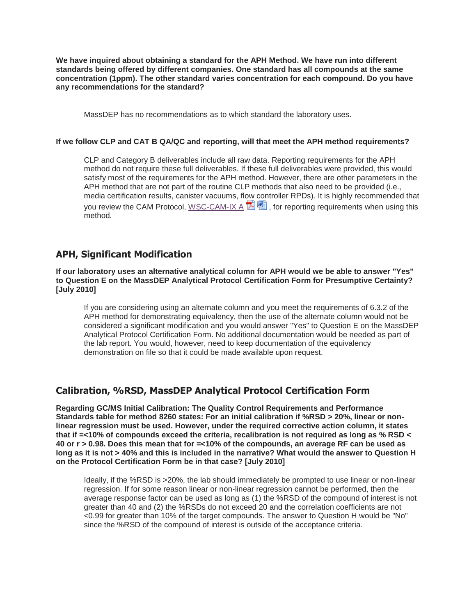**We have inquired about obtaining a standard for the APH Method. We have run into different standards being offered by different companies. One standard has all compounds at the same concentration (1ppm). The other standard varies concentration for each compound. Do you have any recommendations for the standard?**

MassDEP has no recommendations as to which standard the laboratory uses.

#### **If we follow CLP and CAT B QA/QC and reporting, will that meet the APH method requirements?**

CLP and Category B deliverables include all raw data. Reporting requirements for the APH method do not require these full deliverables. If these full deliverables were provided, this would satisfy most of the requirements for the APH method. However, there are other parameters in the APH method that are not part of the routine CLP methods that also need to be provided (i.e., media certification results, canister vacuums, fl[ow](http://www.mass.gov/eea/docs/dep/cleanup/laws/aphmcp.pdf) [con](http://www.mass.gov/eea/docs/dep/cleanup/laws/aphmcp.doc)troller RPDs). It is highly recommended that you review the CAM Protocol, [WSC-CAM-IX A](http://www.mass.gov/eea/docs/dep/cleanup/laws/aphmcp.pdf)  $\mathbb{Z}^{\mathbb{Z}}$ , for reporting requirements when using this method.

#### **APH, Significant Modification**

**If our laboratory uses an alternative analytical column for APH would we be able to answer "Yes" to Question E on the MassDEP Analytical Protocol Certification Form for Presumptive Certainty? [July 2010]**

If you are considering using an alternate column and you meet the requirements of 6.3.2 of the APH method for demonstrating equivalency, then the use of the alternate column would not be considered a significant modification and you would answer "Yes" to Question E on the MassDEP Analytical Protocol Certification Form. No additional documentation would be needed as part of the lab report. You would, however, need to keep documentation of the equivalency demonstration on file so that it could be made available upon request.

#### **Calibration, %RSD, MassDEP Analytical Protocol Certification Form**

**Regarding GC/MS Initial Calibration: The Quality Control Requirements and Performance Standards table for method 8260 states: For an initial calibration if %RSD > 20%, linear or nonlinear regression must be used. However, under the required corrective action column, it states that if =<10% of compounds exceed the criteria, recalibration is not required as long as % RSD < 40 or r > 0.98. Does this mean that for =<10% of the compounds, an average RF can be used as long as it is not > 40% and this is included in the narrative? What would the answer to Question H on the Protocol Certification Form be in that case? [July 2010]**

Ideally, if the %RSD is >20%, the lab should immediately be prompted to use linear or non-linear regression. If for some reason linear or non-linear regression cannot be performed, then the average response factor can be used as long as (1) the %RSD of the compound of interest is not greater than 40 and (2) the %RSDs do not exceed 20 and the correlation coefficients are not <0.99 for greater than 10% of the target compounds. The answer to Question H would be "No" since the %RSD of the compound of interest is outside of the acceptance criteria.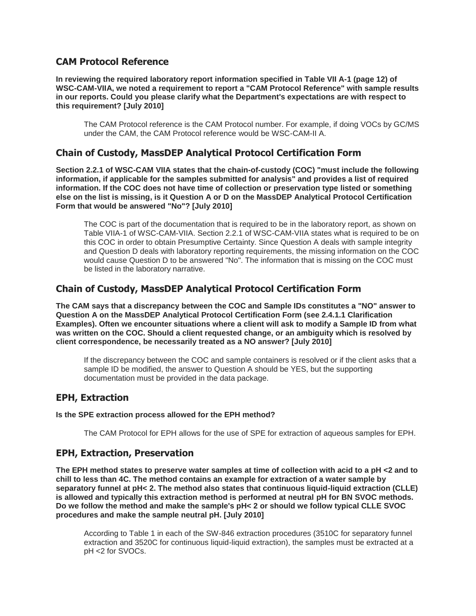#### **CAM Protocol Reference**

**In reviewing the required laboratory report information specified in Table VII A-1 (page 12) of WSC-CAM-VIIA, we noted a requirement to report a "CAM Protocol Reference" with sample results in our reports. Could you please clarify what the Department's expectations are with respect to this requirement? [July 2010]**

The CAM Protocol reference is the CAM Protocol number. For example, if doing VOCs by GC/MS under the CAM, the CAM Protocol reference would be WSC-CAM-II A.

# **Chain of Custody, MassDEP Analytical Protocol Certification Form**

**Section 2.2.1 of WSC-CAM VIIA states that the chain-of-custody (COC) "must include the following information, if applicable for the samples submitted for analysis" and provides a list of required information. If the COC does not have time of collection or preservation type listed or something else on the list is missing, is it Question A or D on the MassDEP Analytical Protocol Certification Form that would be answered "No"? [July 2010]**

The COC is part of the documentation that is required to be in the laboratory report, as shown on Table VIIA-1 of WSC-CAM-VIIA. Section 2.2.1 of WSC-CAM-VIIA states what is required to be on this COC in order to obtain Presumptive Certainty. Since Question A deals with sample integrity and Question D deals with laboratory reporting requirements, the missing information on the COC would cause Question D to be answered "No". The information that is missing on the COC must be listed in the laboratory narrative.

### **Chain of Custody, MassDEP Analytical Protocol Certification Form**

**The CAM says that a discrepancy between the COC and Sample IDs constitutes a "NO" answer to Question A on the MassDEP Analytical Protocol Certification Form (see 2.4.1.1 Clarification Examples). Often we encounter situations where a client will ask to modify a Sample ID from what was written on the COC. Should a client requested change, or an ambiguity which is resolved by client correspondence, be necessarily treated as a NO answer? [July 2010]**

If the discrepancy between the COC and sample containers is resolved or if the client asks that a sample ID be modified, the answer to Question A should be YES, but the supporting documentation must be provided in the data package.

#### **EPH, Extraction**

#### **Is the SPE extraction process allowed for the EPH method?**

The CAM Protocol for EPH allows for the use of SPE for extraction of aqueous samples for EPH.

#### **EPH, Extraction, Preservation**

**The EPH method states to preserve water samples at time of collection with acid to a pH <2 and to chill to less than 4C. The method contains an example for extraction of a water sample by separatory funnel at pH< 2. The method also states that continuous liquid-liquid extraction (CLLE) is allowed and typically this extraction method is performed at neutral pH for BN SVOC methods. Do we follow the method and make the sample's pH< 2 or should we follow typical CLLE SVOC procedures and make the sample neutral pH. [July 2010]**

According to Table 1 in each of the SW-846 extraction procedures (3510C for separatory funnel extraction and 3520C for continuous liquid-liquid extraction), the samples must be extracted at a pH <2 for SVOCs.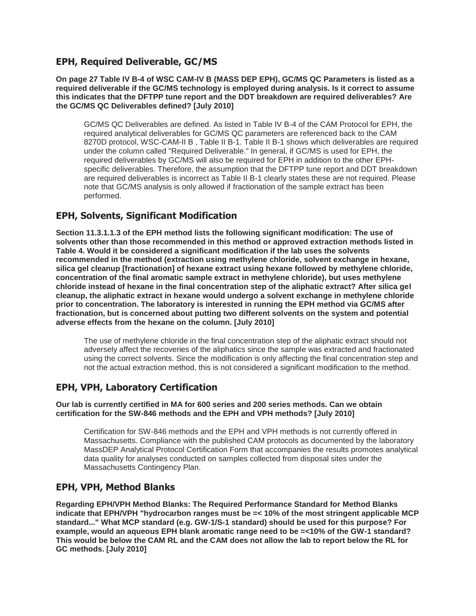### **EPH, Required Deliverable, GC/MS**

**On page 27 Table IV B-4 of WSC CAM-IV B (MASS DEP EPH), GC/MS QC Parameters is listed as a required deliverable if the GC/MS technology is employed during analysis. Is it correct to assume this indicates that the DFTPP tune report and the DDT breakdown are required deliverables? Are the GC/MS QC Deliverables defined? [July 2010]**

GC/MS QC Deliverables are defined. As listed in Table IV B-4 of the CAM Protocol for EPH, the required analytical deliverables for GC/MS QC parameters are referenced back to the CAM 8270D protocol, WSC-CAM-II B , Table II B-1. Table II B-1 shows which deliverables are required under the column called "Required Deliverable." In general, if GC/MS is used for EPH, the required deliverables by GC/MS will also be required for EPH in addition to the other EPHspecific deliverables. Therefore, the assumption that the DFTPP tune report and DDT breakdown are required deliverables is incorrect as Table II B-1 clearly states these are not required. Please note that GC/MS analysis is only allowed if fractionation of the sample extract has been performed.

# **EPH, Solvents, Significant Modification**

**Section 11.3.1.1.3 of the EPH method lists the following significant modification: The use of solvents other than those recommended in this method or approved extraction methods listed in Table 4. Would it be considered a significant modification if the lab uses the solvents recommended in the method (extraction using methylene chloride, solvent exchange in hexane, silica gel cleanup [fractionation] of hexane extract using hexane followed by methylene chloride, concentration of the final aromatic sample extract in methylene chloride), but uses methylene chloride instead of hexane in the final concentration step of the aliphatic extract? After silica gel cleanup, the aliphatic extract in hexane would undergo a solvent exchange in methylene chloride prior to concentration. The laboratory is interested in running the EPH method via GC/MS after fractionation, but is concerned about putting two different solvents on the system and potential adverse effects from the hexane on the column. [July 2010]**

The use of methylene chloride in the final concentration step of the aliphatic extract should not adversely affect the recoveries of the aliphatics since the sample was extracted and fractionated using the correct solvents. Since the modification is only affecting the final concentration step and not the actual extraction method, this is not considered a significant modification to the method.

# **EPH, VPH, Laboratory Certification**

**Our lab is currently certified in MA for 600 series and 200 series methods. Can we obtain certification for the SW-846 methods and the EPH and VPH methods? [July 2010]**

Certification for SW-846 methods and the EPH and VPH methods is not currently offered in Massachusetts. Compliance with the published CAM protocols as documented by the laboratory MassDEP Analytical Protocol Certification Form that accompanies the results promotes analytical data quality for analyses conducted on samples collected from disposal sites under the Massachusetts Contingency Plan.

#### **EPH, VPH, Method Blanks**

**Regarding EPH/VPH Method Blanks: The Required Performance Standard for Method Blanks indicate that EPH/VPH "hydrocarbon ranges must be =< 10% of the most stringent applicable MCP standard..." What MCP standard (e.g. GW-1/S-1 standard) should be used for this purpose? For example, would an aqueous EPH blank aromatic range need to be =<10% of the GW-1 standard? This would be below the CAM RL and the CAM does not allow the lab to report below the RL for GC methods. [July 2010]**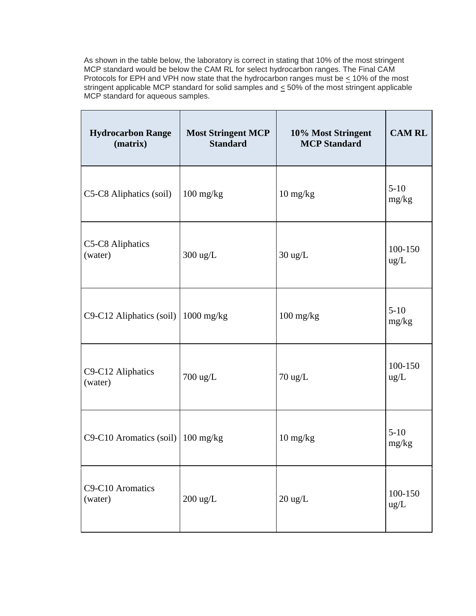As shown in the table below, the laboratory is correct in stating that 10% of the most stringent MCP standard would be below the CAM RL for select hydrocarbon ranges. The Final CAM Protocols for EPH and VPH now state that the hydrocarbon ranges must be  $\leq$  10% of the most stringent applicable MCP standard for solid samples and  $\leq$  50% of the most stringent applicable MCP standard for aqueous samples.

| <b>Hydrocarbon Range</b><br>(matrix) | <b>Most Stringent MCP</b><br><b>Standard</b> | 10% Most Stringent<br><b>MCP</b> Standard | <b>CAM RL</b>   |
|--------------------------------------|----------------------------------------------|-------------------------------------------|-----------------|
| C5-C8 Aliphatics (soil)              | $100 \frac{\text{mg}}{\text{kg}}$            | $10 \frac{\text{mg}}{\text{kg}}$          | $5-10$<br>mg/kg |
| C5-C8 Aliphatics<br>(water)          | $300 \text{ ug/L}$                           | $30 \text{ ug/L}$                         | 100-150<br>ug/L |
| C9-C12 Aliphatics (soil)             | $1000$ mg/kg                                 | $100$ mg/kg                               | $5-10$<br>mg/kg |
| C9-C12 Aliphatics<br>(water)         | 700 ug/L                                     | $70 \text{ ug/L}$                         | 100-150<br>ug/L |
| C9-C10 Aromatics (soil)              | $100 \text{ mg/kg}$                          | $10 \frac{\text{mg}}{\text{kg}}$          | $5-10$<br>mg/kg |
| C9-C10 Aromatics<br>(water)          | $200$ ug/L                                   | $20 \text{ ug/L}$                         | 100-150<br>ug/L |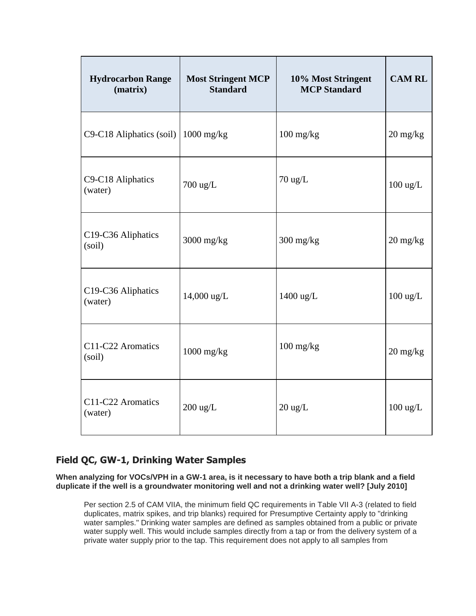| <b>Hydrocarbon Range</b><br>(matrix)        | <b>Most Stringent MCP</b><br><b>Standard</b> | 10% Most Stringent<br><b>MCP</b> Standard | <b>CAM RL</b>                    |
|---------------------------------------------|----------------------------------------------|-------------------------------------------|----------------------------------|
| C9-C18 Aliphatics (soil) $\vert$ 1000 mg/kg |                                              | $100$ mg/kg                               | $20 \frac{\text{mg}}{\text{kg}}$ |
| C9-C18 Aliphatics<br>(water)                | 700 ug/L                                     | $70$ ug/L                                 | $100 \text{ ug/L}$               |
| C19-C36 Aliphatics<br>(soil)                | 3000 mg/kg                                   | $300$ mg/kg                               | $20 \frac{\text{mg}}{\text{kg}}$ |
| C19-C36 Aliphatics<br>(water)               | 14,000 ug/L                                  | 1400 ug/L                                 | $100 \text{ ug/L}$               |
| C11-C22 Aromatics<br>(soil)                 | $1000$ mg/kg                                 | $100$ mg/kg                               | $20 \frac{\text{mg}}{\text{kg}}$ |
| C11-C22 Aromatics<br>(water)                | $200 \text{ ug/L}$                           | $20 \text{ ug/L}$                         | $100 \text{ ug/L}$               |

# **Field QC, GW-1, Drinking Water Samples**

**When analyzing for VOCs/VPH in a GW-1 area, is it necessary to have both a trip blank and a field duplicate if the well is a groundwater monitoring well and not a drinking water well? [July 2010]**

Per section 2.5 of CAM VIIA, the minimum field QC requirements in Table VII A-3 (related to field duplicates, matrix spikes, and trip blanks) required for Presumptive Certainty apply to "drinking water samples." Drinking water samples are defined as samples obtained from a public or private water supply well. This would include samples directly from a tap or from the delivery system of a private water supply prior to the tap. This requirement does not apply to all samples from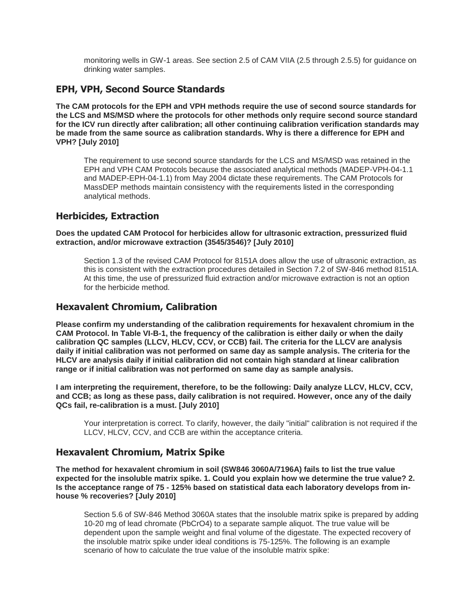monitoring wells in GW-1 areas. See section 2.5 of CAM VIIA (2.5 through 2.5.5) for guidance on drinking water samples.

#### **EPH, VPH, Second Source Standards**

**The CAM protocols for the EPH and VPH methods require the use of second source standards for the LCS and MS/MSD where the protocols for other methods only require second source standard for the ICV run directly after calibration; all other continuing calibration verification standards may be made from the same source as calibration standards. Why is there a difference for EPH and VPH? [July 2010]**

The requirement to use second source standards for the LCS and MS/MSD was retained in the EPH and VPH CAM Protocols because the associated analytical methods (MADEP-VPH-04-1.1 and MADEP-EPH-04-1.1) from May 2004 dictate these requirements. The CAM Protocols for MassDEP methods maintain consistency with the requirements listed in the corresponding analytical methods.

#### **Herbicides, Extraction**

**Does the updated CAM Protocol for herbicides allow for ultrasonic extraction, pressurized fluid extraction, and/or microwave extraction (3545/3546)? [July 2010]**

Section 1.3 of the revised CAM Protocol for 8151A does allow the use of ultrasonic extraction, as this is consistent with the extraction procedures detailed in Section 7.2 of SW-846 method 8151A. At this time, the use of pressurized fluid extraction and/or microwave extraction is not an option for the herbicide method.

### **Hexavalent Chromium, Calibration**

**Please confirm my understanding of the calibration requirements for hexavalent chromium in the CAM Protocol. In Table VI-B-1, the frequency of the calibration is either daily or when the daily calibration QC samples (LLCV, HLCV, CCV, or CCB) fail. The criteria for the LLCV are analysis daily if initial calibration was not performed on same day as sample analysis. The criteria for the HLCV are analysis daily if initial calibration did not contain high standard at linear calibration range or if initial calibration was not performed on same day as sample analysis.**

**I am interpreting the requirement, therefore, to be the following: Daily analyze LLCV, HLCV, CCV, and CCB; as long as these pass, daily calibration is not required. However, once any of the daily QCs fail, re-calibration is a must. [July 2010]**

Your interpretation is correct. To clarify, however, the daily "initial" calibration is not required if the LLCV, HLCV, CCV, and CCB are within the acceptance criteria.

# **Hexavalent Chromium, Matrix Spike**

**The method for hexavalent chromium in soil (SW846 3060A/7196A) fails to list the true value expected for the insoluble matrix spike. 1. Could you explain how we determine the true value? 2. Is the acceptance range of 75 - 125% based on statistical data each laboratory develops from inhouse % recoveries? [July 2010]**

Section 5.6 of SW-846 Method 3060A states that the insoluble matrix spike is prepared by adding 10-20 mg of lead chromate (PbCrO4) to a separate sample aliquot. The true value will be dependent upon the sample weight and final volume of the digestate. The expected recovery of the insoluble matrix spike under ideal conditions is 75-125%. The following is an example scenario of how to calculate the true value of the insoluble matrix spike: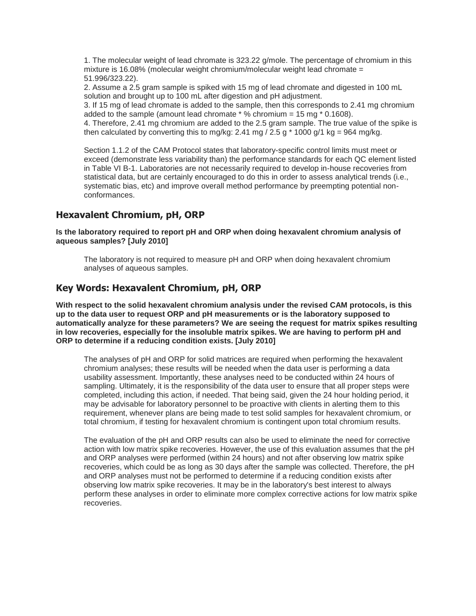1. The molecular weight of lead chromate is 323.22 g/mole. The percentage of chromium in this mixture is 16.08% (molecular weight chromium/molecular weight lead chromate = 51.996/323.22).

2. Assume a 2.5 gram sample is spiked with 15 mg of lead chromate and digested in 100 mL solution and brought up to 100 mL after digestion and pH adjustment.

3. If 15 mg of lead chromate is added to the sample, then this corresponds to 2.41 mg chromium added to the sample (amount lead chromate  $*$  % chromium = 15 mg  $*$  0.1608).

4. Therefore, 2.41 mg chromium are added to the 2.5 gram sample. The true value of the spike is then calculated by converting this to mg/kg: 2.41 mg / 2.5 g  $*$  1000 g/1 kg = 964 mg/kg.

Section 1.1.2 of the CAM Protocol states that laboratory-specific control limits must meet or exceed (demonstrate less variability than) the performance standards for each QC element listed in Table VI B-1. Laboratories are not necessarily required to develop in-house recoveries from statistical data, but are certainly encouraged to do this in order to assess analytical trends (i.e., systematic bias, etc) and improve overall method performance by preempting potential nonconformances.

### **Hexavalent Chromium, pH, ORP**

**Is the laboratory required to report pH and ORP when doing hexavalent chromium analysis of aqueous samples? [July 2010]**

The laboratory is not required to measure pH and ORP when doing hexavalent chromium analyses of aqueous samples.

#### **Key Words: Hexavalent Chromium, pH, ORP**

**With respect to the solid hexavalent chromium analysis under the revised CAM protocols, is this up to the data user to request ORP and pH measurements or is the laboratory supposed to automatically analyze for these parameters? We are seeing the request for matrix spikes resulting in low recoveries, especially for the insoluble matrix spikes. We are having to perform pH and ORP to determine if a reducing condition exists. [July 2010]**

The analyses of pH and ORP for solid matrices are required when performing the hexavalent chromium analyses; these results will be needed when the data user is performing a data usability assessment. Importantly, these analyses need to be conducted within 24 hours of sampling. Ultimately, it is the responsibility of the data user to ensure that all proper steps were completed, including this action, if needed. That being said, given the 24 hour holding period, it may be advisable for laboratory personnel to be proactive with clients in alerting them to this requirement, whenever plans are being made to test solid samples for hexavalent chromium, or total chromium, if testing for hexavalent chromium is contingent upon total chromium results.

The evaluation of the pH and ORP results can also be used to eliminate the need for corrective action with low matrix spike recoveries. However, the use of this evaluation assumes that the pH and ORP analyses were performed (within 24 hours) and not after observing low matrix spike recoveries, which could be as long as 30 days after the sample was collected. Therefore, the pH and ORP analyses must not be performed to determine if a reducing condition exists after observing low matrix spike recoveries. It may be in the laboratory's best interest to always perform these analyses in order to eliminate more complex corrective actions for low matrix spike recoveries.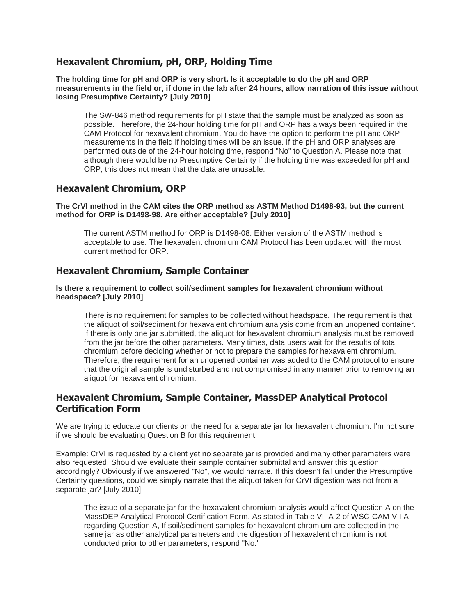#### **Hexavalent Chromium, pH, ORP, Holding Time**

**The holding time for pH and ORP is very short. Is it acceptable to do the pH and ORP measurements in the field or, if done in the lab after 24 hours, allow narration of this issue without losing Presumptive Certainty? [July 2010]**

The SW-846 method requirements for pH state that the sample must be analyzed as soon as possible. Therefore, the 24-hour holding time for pH and ORP has always been required in the CAM Protocol for hexavalent chromium. You do have the option to perform the pH and ORP measurements in the field if holding times will be an issue. If the pH and ORP analyses are performed outside of the 24-hour holding time, respond "No" to Question A. Please note that although there would be no Presumptive Certainty if the holding time was exceeded for pH and ORP, this does not mean that the data are unusable.

### **Hexavalent Chromium, ORP**

**The CrVI method in the CAM cites the ORP method as ASTM Method D1498-93, but the current method for ORP is D1498-98. Are either acceptable? [July 2010]**

The current ASTM method for ORP is D1498-08. Either version of the ASTM method is acceptable to use. The hexavalent chromium CAM Protocol has been updated with the most current method for ORP.

### **Hexavalent Chromium, Sample Container**

#### **Is there a requirement to collect soil/sediment samples for hexavalent chromium without headspace? [July 2010]**

There is no requirement for samples to be collected without headspace. The requirement is that the aliquot of soil/sediment for hexavalent chromium analysis come from an unopened container. If there is only one jar submitted, the aliquot for hexavalent chromium analysis must be removed from the jar before the other parameters. Many times, data users wait for the results of total chromium before deciding whether or not to prepare the samples for hexavalent chromium. Therefore, the requirement for an unopened container was added to the CAM protocol to ensure that the original sample is undisturbed and not compromised in any manner prior to removing an aliquot for hexavalent chromium.

#### **Hexavalent Chromium, Sample Container, MassDEP Analytical Protocol Certification Form**

We are trying to educate our clients on the need for a separate jar for hexavalent chromium. I'm not sure if we should be evaluating Question B for this requirement.

Example: CrVI is requested by a client yet no separate jar is provided and many other parameters were also requested. Should we evaluate their sample container submittal and answer this question accordingly? Obviously if we answered "No", we would narrate. If this doesn't fall under the Presumptive Certainty questions, could we simply narrate that the aliquot taken for CrVI digestion was not from a separate jar? [July 2010]

The issue of a separate jar for the hexavalent chromium analysis would affect Question A on the MassDEP Analytical Protocol Certification Form. As stated in Table VII A-2 of WSC-CAM-VII A regarding Question A, If soil/sediment samples for hexavalent chromium are collected in the same jar as other analytical parameters and the digestion of hexavalent chromium is not conducted prior to other parameters, respond "No."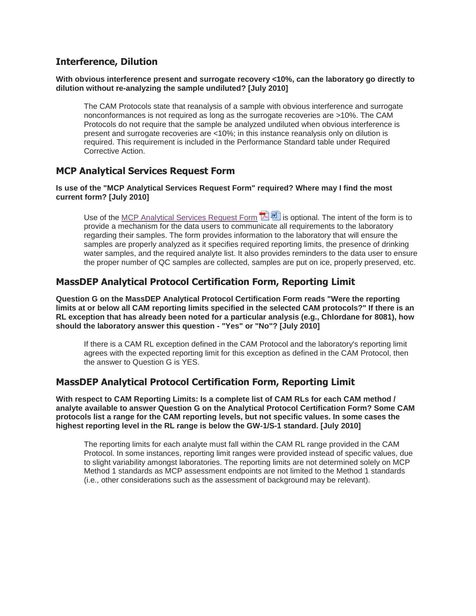#### **Interference, Dilution**

#### **With obvious interference present and surrogate recovery <10%, can the laboratory go directly to dilution without re-analyzing the sample undiluted? [July 2010]**

The CAM Protocols state that reanalysis of a sample with obvious interference and surrogate nonconformances is not required as long as the surrogate recoveries are >10%. The CAM Protocols do not require that the sample be analyzed undiluted when obvious interference is present and surrogate recoveries are <10%; in this instance reanalysis only on dilution is required. This requirement is included in the Performance Standard table under Required Corrective Action.

### **MCP Analytical Services Request Form**

#### **Is use of the "MCP Analytical Services Request Form" required? Where may I find the most current form? [July 2010]**

Use of the [MCP Analytical Services Request Form](http://www.mass.gov/eea/docs/dep/cleanup/laws/prescert.pdf)  $\mathbb{Z}[\mathbb{Z}]$  is optional. The intent of the form is to provide a mechanism for the data users to communicate all requirements to the laboratory regarding their samples. The form provides information to the laboratory that will ensure the samples are properly analyzed as it specifies required reporting limits, the presence of drinking water samples, and the required analyte list. It also provides reminders to the data user to ensure the proper number of QC samples are collected, samples are put on ice, properly preserved, etc.

### **MassDEP Analytical Protocol Certification Form, Reporting Limit**

**Question G on the MassDEP Analytical Protocol Certification Form reads "Were the reporting limits at or below all CAM reporting limits specified in the selected CAM protocols?" If there is an RL exception that has already been noted for a particular analysis (e.g., Chlordane for 8081), how should the laboratory answer this question - "Yes" or "No"? [July 2010]**

If there is a CAM RL exception defined in the CAM Protocol and the laboratory's reporting limit agrees with the expected reporting limit for this exception as defined in the CAM Protocol, then the answer to Question G is YES.

# **MassDEP Analytical Protocol Certification Form, Reporting Limit**

**With respect to CAM Reporting Limits: Is a complete list of CAM RLs for each CAM method / analyte available to answer Question G on the Analytical Protocol Certification Form? Some CAM protocols list a range for the CAM reporting levels, but not specific values. In some cases the highest reporting level in the RL range is below the GW-1/S-1 standard. [July 2010]**

The reporting limits for each analyte must fall within the CAM RL range provided in the CAM Protocol. In some instances, reporting limit ranges were provided instead of specific values, due to slight variability amongst laboratories. The reporting limits are not determined solely on MCP Method 1 standards as MCP assessment endpoints are not limited to the Method 1 standards (i.e., other considerations such as the assessment of background may be relevant).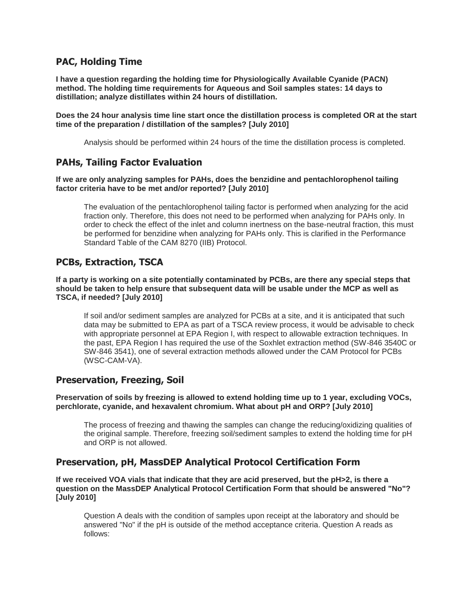#### **PAC, Holding Time**

**I have a question regarding the holding time for Physiologically Available Cyanide (PACN) method. The holding time requirements for Aqueous and Soil samples states: 14 days to distillation; analyze distillates within 24 hours of distillation.**

**Does the 24 hour analysis time line start once the distillation process is completed OR at the start time of the preparation / distillation of the samples? [July 2010]**

Analysis should be performed within 24 hours of the time the distillation process is completed.

### **PAHs, Tailing Factor Evaluation**

**If we are only analyzing samples for PAHs, does the benzidine and pentachlorophenol tailing factor criteria have to be met and/or reported? [July 2010]**

The evaluation of the pentachlorophenol tailing factor is performed when analyzing for the acid fraction only. Therefore, this does not need to be performed when analyzing for PAHs only. In order to check the effect of the inlet and column inertness on the base-neutral fraction, this must be performed for benzidine when analyzing for PAHs only. This is clarified in the Performance Standard Table of the CAM 8270 (IIB) Protocol.

### **PCBs, Extraction, TSCA**

**If a party is working on a site potentially contaminated by PCBs, are there any special steps that should be taken to help ensure that subsequent data will be usable under the MCP as well as TSCA, if needed? [July 2010]**

If soil and/or sediment samples are analyzed for PCBs at a site, and it is anticipated that such data may be submitted to EPA as part of a TSCA review process, it would be advisable to check with appropriate personnel at EPA Region I, with respect to allowable extraction techniques. In the past, EPA Region I has required the use of the Soxhlet extraction method (SW-846 3540C or SW-846 3541), one of several extraction methods allowed under the CAM Protocol for PCBs (WSC-CAM-VA).

#### **Preservation, Freezing, Soil**

**Preservation of soils by freezing is allowed to extend holding time up to 1 year, excluding VOCs, perchlorate, cyanide, and hexavalent chromium. What about pH and ORP? [July 2010]**

The process of freezing and thawing the samples can change the reducing/oxidizing qualities of the original sample. Therefore, freezing soil/sediment samples to extend the holding time for pH and ORP is not allowed.

#### **Preservation, pH, MassDEP Analytical Protocol Certification Form**

**If we received VOA vials that indicate that they are acid preserved, but the pH>2, is there a question on the MassDEP Analytical Protocol Certification Form that should be answered "No"? [July 2010]**

Question A deals with the condition of samples upon receipt at the laboratory and should be answered "No" if the pH is outside of the method acceptance criteria. Question A reads as follows: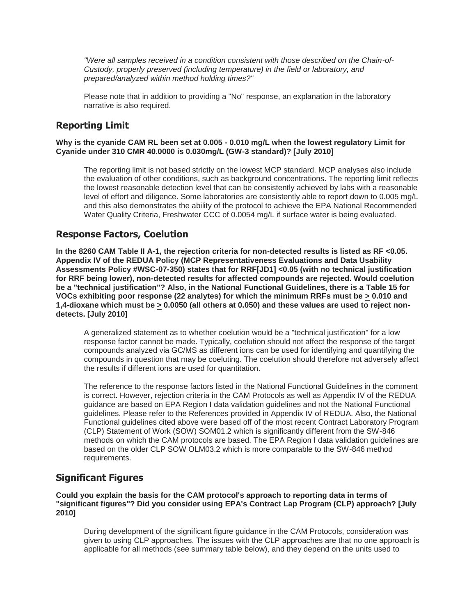*"Were all samples received in a condition consistent with those described on the Chain-of-Custody, properly preserved (including temperature) in the field or laboratory, and prepared/analyzed within method holding times?"*

Please note that in addition to providing a "No" response, an explanation in the laboratory narrative is also required.

### **Reporting Limit**

**Why is the cyanide CAM RL been set at 0.005 - 0.010 mg/L when the lowest regulatory Limit for Cyanide under 310 CMR 40.0000 is 0.030mg/L (GW-3 standard)? [July 2010]**

The reporting limit is not based strictly on the lowest MCP standard. MCP analyses also include the evaluation of other conditions, such as background concentrations. The reporting limit reflects the lowest reasonable detection level that can be consistently achieved by labs with a reasonable level of effort and diligence. Some laboratories are consistently able to report down to 0.005 mg/L and this also demonstrates the ability of the protocol to achieve the EPA National Recommended Water Quality Criteria, Freshwater CCC of 0.0054 mg/L if surface water is being evaluated.

### **Response Factors, Coelution**

**In the 8260 CAM Table II A-1, the rejection criteria for non-detected results is listed as RF <0.05. Appendix IV of the REDUA Policy (MCP Representativeness Evaluations and Data Usability Assessments Policy #WSC-07-350) states that for RRF[JD1] <0.05 (with no technical justification for RRF being lower), non-detected results for affected compounds are rejected. Would coelution be a "technical justification"? Also, in the National Functional Guidelines, there is a Table 15 for VOCs exhibiting poor response (22 analytes) for which the minimum RRFs must be > 0.010 and 1,4-dioxane which must be > 0.0050 (all others at 0.050) and these values are used to reject nondetects. [July 2010]**

A generalized statement as to whether coelution would be a "technical justification" for a low response factor cannot be made. Typically, coelution should not affect the response of the target compounds analyzed via GC/MS as different ions can be used for identifying and quantifying the compounds in question that may be coeluting. The coelution should therefore not adversely affect the results if different ions are used for quantitation.

The reference to the response factors listed in the National Functional Guidelines in the comment is correct. However, rejection criteria in the CAM Protocols as well as Appendix IV of the REDUA guidance are based on EPA Region I data validation guidelines and not the National Functional guidelines. Please refer to the References provided in Appendix IV of REDUA. Also, the National Functional guidelines cited above were based off of the most recent Contract Laboratory Program (CLP) Statement of Work (SOW) SOM01.2 which is significantly different from the SW-846 methods on which the CAM protocols are based. The EPA Region I data validation guidelines are based on the older CLP SOW OLM03.2 which is more comparable to the SW-846 method requirements.

# **Significant Figures**

**Could you explain the basis for the CAM protocol's approach to reporting data in terms of "significant figures"? Did you consider using EPA's Contract Lap Program (CLP) approach? [July 2010]**

During development of the significant figure guidance in the CAM Protocols, consideration was given to using CLP approaches. The issues with the CLP approaches are that no one approach is applicable for all methods (see summary table below), and they depend on the units used to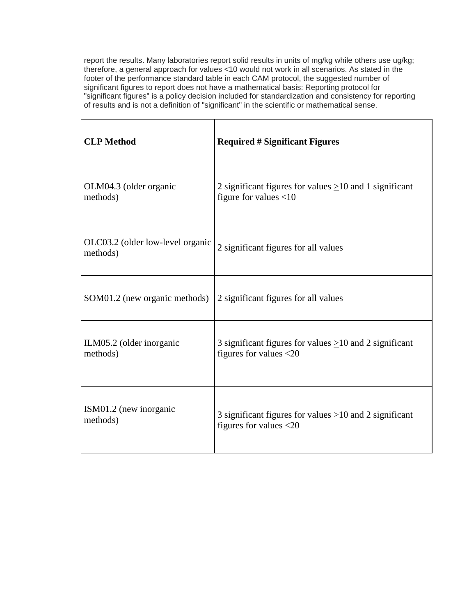report the results. Many laboratories report solid results in units of mg/kg while others use ug/kg; therefore, a general approach for values <10 would not work in all scenarios. As stated in the footer of the performance standard table in each CAM protocol, the suggested number of significant figures to report does not have a mathematical basis: Reporting protocol for "significant figures" is a policy decision included for standardization and consistency for reporting of results and is not a definition of "significant" in the scientific or mathematical sense.

| <b>CLP</b> Method                            | <b>Required # Significant Figures</b>                        |
|----------------------------------------------|--------------------------------------------------------------|
| OLM04.3 (older organic                       | 2 significant figures for values $\geq$ 10 and 1 significant |
| methods)                                     | figure for values $<$ 10                                     |
| OLC03.2 (older low-level organic<br>methods) | 2 significant figures for all values                         |
| SOM01.2 (new organic methods)                | 2 significant figures for all values                         |
| ILM05.2 (older inorganic                     | 3 significant figures for values $\geq$ 10 and 2 significant |
| methods)                                     | figures for values $<$ 20                                    |
| ISM01.2 (new inorganic                       | 3 significant figures for values $>10$ and 2 significant     |
| methods)                                     | figures for values <20                                       |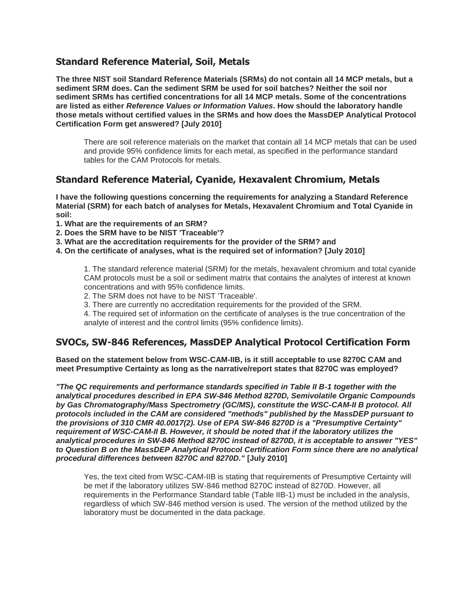#### **Standard Reference Material, Soil, Metals**

**The three NIST soil Standard Reference Materials (SRMs) do not contain all 14 MCP metals, but a sediment SRM does. Can the sediment SRM be used for soil batches? Neither the soil nor sediment SRMs has certified concentrations for all 14 MCP metals. Some of the concentrations are listed as either** *Reference Values or Information Values***. How should the laboratory handle those metals without certified values in the SRMs and how does the MassDEP Analytical Protocol Certification Form get answered? [July 2010]**

There are soil reference materials on the market that contain all 14 MCP metals that can be used and provide 95% confidence limits for each metal, as specified in the performance standard tables for the CAM Protocols for metals.

### **Standard Reference Material, Cyanide, Hexavalent Chromium, Metals**

**I have the following questions concerning the requirements for analyzing a Standard Reference Material (SRM) for each batch of analyses for Metals, Hexavalent Chromium and Total Cyanide in soil:**

- **1. What are the requirements of an SRM?**
- **2. Does the SRM have to be NIST 'Traceable'?**
- **3. What are the accreditation requirements for the provider of the SRM? and**
- **4. On the certificate of analyses, what is the required set of information? [July 2010]**

1. The standard reference material (SRM) for the metals, hexavalent chromium and total cyanide CAM protocols must be a soil or sediment matrix that contains the analytes of interest at known concentrations and with 95% confidence limits.

2. The SRM does not have to be NIST 'Traceable'.

3. There are currently no accreditation requirements for the provided of the SRM.

4. The required set of information on the certificate of analyses is the true concentration of the analyte of interest and the control limits (95% confidence limits).

#### **SVOCs, SW-846 References, MassDEP Analytical Protocol Certification Form**

**Based on the statement below from WSC-CAM-IIB, is it still acceptable to use 8270C CAM and meet Presumptive Certainty as long as the narrative/report states that 8270C was employed?**

*"The QC requirements and performance standards specified in Table II B-1 together with the analytical procedures described in EPA SW-846 Method 8270D, Semivolatile Organic Compounds by Gas Chromatography/Mass Spectrometry (GC/MS), constitute the WSC-CAM-II B protocol. All protocols included in the CAM are considered "methods" published by the MassDEP pursuant to the provisions of 310 CMR 40.0017(2). Use of EPA SW-846 8270D is a "Presumptive Certainty" requirement of WSC-CAM-II B. However, it should be noted that if the laboratory utilizes the analytical procedures in SW-846 Method 8270C instead of 8270D, it is acceptable to answer "YES" to Question B on the MassDEP Analytical Protocol Certification Form since there are no analytical procedural differences between 8270C and 8270D."* **[July 2010]**

Yes, the text cited from WSC-CAM-IIB is stating that requirements of Presumptive Certainty will be met if the laboratory utilizes SW-846 method 8270C instead of 8270D. However, all requirements in the Performance Standard table (Table IIB-1) must be included in the analysis, regardless of which SW-846 method version is used. The version of the method utilized by the laboratory must be documented in the data package.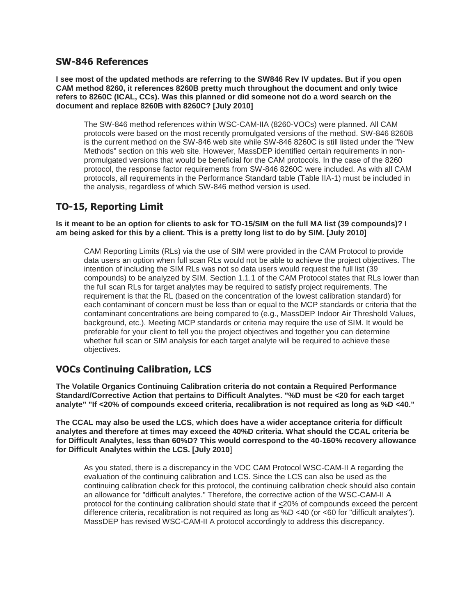#### **SW-846 References**

**I see most of the updated methods are referring to the SW846 Rev IV updates. But if you open CAM method 8260, it references 8260B pretty much throughout the document and only twice refers to 8260C (ICAL, CCs). Was this planned or did someone not do a word search on the document and replace 8260B with 8260C? [July 2010]**

The SW-846 method references within WSC-CAM-IIA (8260-VOCs) were planned. All CAM protocols were based on the most recently promulgated versions of the method. SW-846 8260B is the current method on the SW-846 web site while SW-846 8260C is still listed under the "New Methods" section on this web site. However, MassDEP identified certain requirements in nonpromulgated versions that would be beneficial for the CAM protocols. In the case of the 8260 protocol, the response factor requirements from SW-846 8260C were included. As with all CAM protocols, all requirements in the Performance Standard table (Table IIA-1) must be included in the analysis, regardless of which SW-846 method version is used.

# **TO-15, Reporting Limit**

**Is it meant to be an option for clients to ask for TO-15/SIM on the full MA list (39 compounds)? I am being asked for this by a client. This is a pretty long list to do by SIM. [July 2010]**

CAM Reporting Limits (RLs) via the use of SIM were provided in the CAM Protocol to provide data users an option when full scan RLs would not be able to achieve the project objectives. The intention of including the SIM RLs was not so data users would request the full list (39 compounds) to be analyzed by SIM. Section 1.1.1 of the CAM Protocol states that RLs lower than the full scan RLs for target analytes may be required to satisfy project requirements. The requirement is that the RL (based on the concentration of the lowest calibration standard) for each contaminant of concern must be less than or equal to the MCP standards or criteria that the contaminant concentrations are being compared to (e.g., MassDEP Indoor Air Threshold Values, background, etc.). Meeting MCP standards or criteria may require the use of SIM. It would be preferable for your client to tell you the project objectives and together you can determine whether full scan or SIM analysis for each target analyte will be required to achieve these objectives.

# **VOCs Continuing Calibration, LCS**

**The Volatile Organics Continuing Calibration criteria do not contain a Required Performance Standard/Corrective Action that pertains to Difficult Analytes. "%D must be <20 for each target analyte" "If <20% of compounds exceed criteria, recalibration is not required as long as %D <40."**

**The CCAL may also be used the LCS, which does have a wider acceptance criteria for difficult analytes and therefore at times may exceed the 40%D criteria. What should the CCAL criteria be for Difficult Analytes, less than 60%D? This would correspond to the 40-160% recovery allowance for Difficult Analytes within the LCS. [July 2010**]

As you stated, there is a discrepancy in the VOC CAM Protocol WSC-CAM-II A regarding the evaluation of the continuing calibration and LCS. Since the LCS can also be used as the continuing calibration check for this protocol, the continuing calibration check should also contain an allowance for "difficult analytes." Therefore, the corrective action of the WSC-CAM-II A protocol for the continuing calibration should state that if <20% of compounds exceed the percent difference criteria, recalibration is not required as long as %D <40 (or <60 for "difficult analytes"). MassDEP has revised WSC-CAM-II A protocol accordingly to address this discrepancy.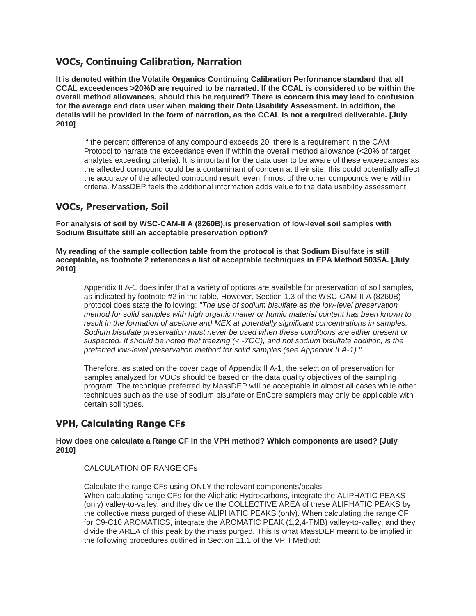#### **VOCs, Continuing Calibration, Narration**

**It is denoted within the Volatile Organics Continuing Calibration Performance standard that all CCAL exceedences >20%D are required to be narrated. If the CCAL is considered to be within the overall method allowances, should this be required? There is concern this may lead to confusion for the average end data user when making their Data Usability Assessment. In addition, the details will be provided in the form of narration, as the CCAL is not a required deliverable. [July 2010]**

If the percent difference of any compound exceeds 20, there is a requirement in the CAM Protocol to narrate the exceedance even if within the overall method allowance (<20% of target analytes exceeding criteria). It is important for the data user to be aware of these exceedances as the affected compound could be a contaminant of concern at their site; this could potentially affect the accuracy of the affected compound result, even if most of the other compounds were within criteria. MassDEP feels the additional information adds value to the data usability assessment.

#### **VOCs, Preservation, Soil**

**For analysis of soil by WSC-CAM-II A (8260B),is preservation of low-level soil samples with Sodium Bisulfate still an acceptable preservation option?**

**My reading of the sample collection table from the protocol is that Sodium Bisulfate is still acceptable, as footnote 2 references a list of acceptable techniques in EPA Method 5035A. [July 2010]**

Appendix II A-1 does infer that a variety of options are available for preservation of soil samples, as indicated by footnote #2 in the table. However, Section 1.3 of the WSC-CAM-II A (8260B) protocol does state the following: *"The use of sodium bisulfate as the low-level preservation method for solid samples with high organic matter or humic material content has been known to result in the formation of acetone and MEK at potentially significant concentrations in samples. Sodium bisulfate preservation must never be used when these conditions are either present or suspected. It should be noted that freezing (< -7OC), and not sodium bisulfate addition, is the preferred low-level preservation method for solid samples (see Appendix II A-1)."*

Therefore, as stated on the cover page of Appendix II A-1, the selection of preservation for samples analyzed for VOCs should be based on the data quality objectives of the sampling program. The technique preferred by MassDEP will be acceptable in almost all cases while other techniques such as the use of sodium bisulfate or EnCore samplers may only be applicable with certain soil types.

# **VPH, Calculating Range CFs**

**How does one calculate a Range CF in the VPH method? Which components are used? [July 2010]**

#### CALCULATION OF RANGE CES

Calculate the range CFs using ONLY the relevant components/peaks. When calculating range CFs for the Aliphatic Hydrocarbons, integrate the ALIPHATIC PEAKS (only) valley-to-valley, and they divide the COLLECTIVE AREA of these ALIPHATIC PEAKS by the collective mass purged of these ALIPHATIC PEAKS (only). When calculating the range CF for C9-C10 AROMATICS, integrate the AROMATIC PEAK (1,2,4-TMB) valley-to-valley, and they divide the AREA of this peak by the mass purged. This is what MassDEP meant to be implied in the following procedures outlined in Section 11.1 of the VPH Method: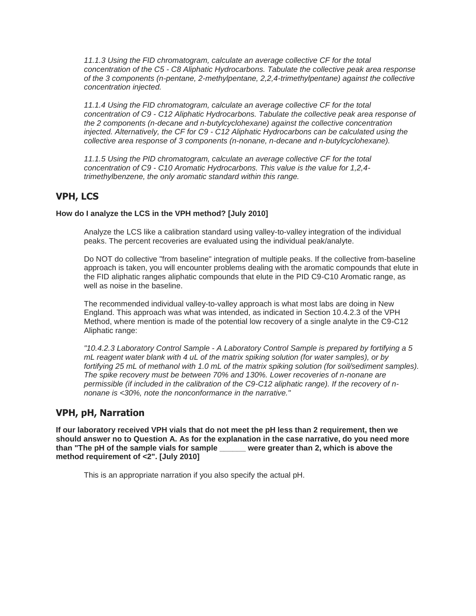*11.1.3 Using the FID chromatogram, calculate an average collective CF for the total concentration of the C5 - C8 Aliphatic Hydrocarbons. Tabulate the collective peak area response of the 3 components (n-pentane, 2-methylpentane, 2,2,4-trimethylpentane) against the collective concentration injected.*

*11.1.4 Using the FID chromatogram, calculate an average collective CF for the total concentration of C9 - C12 Aliphatic Hydrocarbons. Tabulate the collective peak area response of the 2 components (n-decane and n-butylcyclohexane) against the collective concentration injected. Alternatively, the CF for C9 - C12 Aliphatic Hydrocarbons can be calculated using the collective area response of 3 components (n-nonane, n-decane and n-butylcyclohexane).*

*11.1.5 Using the PID chromatogram, calculate an average collective CF for the total concentration of C9 - C10 Aromatic Hydrocarbons. This value is the value for 1,2,4 trimethylbenzene, the only aromatic standard within this range.*

### **VPH, LCS**

#### **How do I analyze the LCS in the VPH method? [July 2010]**

Analyze the LCS like a calibration standard using valley-to-valley integration of the individual peaks. The percent recoveries are evaluated using the individual peak/analyte.

Do NOT do collective "from baseline" integration of multiple peaks. If the collective from-baseline approach is taken, you will encounter problems dealing with the aromatic compounds that elute in the FID aliphatic ranges aliphatic compounds that elute in the PID C9-C10 Aromatic range, as well as noise in the baseline.

The recommended individual valley-to-valley approach is what most labs are doing in New England. This approach was what was intended, as indicated in Section 10.4.2.3 of the VPH Method, where mention is made of the potential low recovery of a single analyte in the C9-C12 Aliphatic range:

*"10.4.2.3 Laboratory Control Sample - A Laboratory Control Sample is prepared by fortifying a 5 mL reagent water blank with 4 uL of the matrix spiking solution (for water samples), or by fortifying 25 mL of methanol with 1.0 mL of the matrix spiking solution (for soil/sediment samples). The spike recovery must be between 70% and 130%. Lower recoveries of n-nonane are permissible (if included in the calibration of the C9-C12 aliphatic range). If the recovery of nnonane is <30%, note the nonconformance in the narrative."*

#### **VPH, pH, Narration**

**If our laboratory received VPH vials that do not meet the pH less than 2 requirement, then we should answer no to Question A. As for the explanation in the case narrative, do you need more than "The pH of the sample vials for sample \_\_\_\_\_\_ were greater than 2, which is above the method requirement of <2". [July 2010]**

This is an appropriate narration if you also specify the actual pH.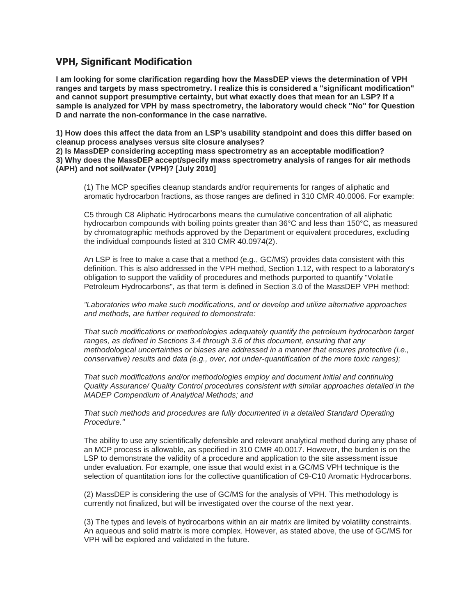#### **VPH, Significant Modification**

**I am looking for some clarification regarding how the MassDEP views the determination of VPH ranges and targets by mass spectrometry. I realize this is considered a "significant modification" and cannot support presumptive certainty, but what exactly does that mean for an LSP? If a sample is analyzed for VPH by mass spectrometry, the laboratory would check "No" for Question D and narrate the non-conformance in the case narrative.**

**1) How does this affect the data from an LSP's usability standpoint and does this differ based on cleanup process analyses versus site closure analyses?**

**2) Is MassDEP considering accepting mass spectrometry as an acceptable modification? 3) Why does the MassDEP accept/specify mass spectrometry analysis of ranges for air methods (APH) and not soil/water (VPH)? [July 2010]**

(1) The MCP specifies cleanup standards and/or requirements for ranges of aliphatic and aromatic hydrocarbon fractions, as those ranges are defined in 310 CMR 40.0006. For example:

C5 through C8 Aliphatic Hydrocarbons means the cumulative concentration of all aliphatic hydrocarbon compounds with boiling points greater than 36°C and less than 150°C, as measured by chromatographic methods approved by the Department or equivalent procedures, excluding the individual compounds listed at 310 CMR 40.0974(2).

An LSP is free to make a case that a method (e.g., GC/MS) provides data consistent with this definition. This is also addressed in the VPH method, Section 1.12, with respect to a laboratory's obligation to support the validity of procedures and methods purported to quantify "Volatile Petroleum Hydrocarbons", as that term is defined in Section 3.0 of the MassDEP VPH method:

*"Laboratories who make such modifications, and or develop and utilize alternative approaches and methods, are further required to demonstrate:*

*That such modifications or methodologies adequately quantify the petroleum hydrocarbon target ranges, as defined in Sections 3.4 through 3.6 of this document, ensuring that any methodological uncertainties or biases are addressed in a manner that ensures protective (i.e., conservative) results and data (e.g., over, not under-quantification of the more toxic ranges);*

*That such modifications and/or methodologies employ and document initial and continuing Quality Assurance/ Quality Control procedures consistent with similar approaches detailed in the MADEP Compendium of Analytical Methods; and*

*That such methods and procedures are fully documented in a detailed Standard Operating Procedure."*

The ability to use any scientifically defensible and relevant analytical method during any phase of an MCP process is allowable, as specified in 310 CMR 40.0017. However, the burden is on the LSP to demonstrate the validity of a procedure and application to the site assessment issue under evaluation. For example, one issue that would exist in a GC/MS VPH technique is the selection of quantitation ions for the collective quantification of C9-C10 Aromatic Hydrocarbons.

(2) MassDEP is considering the use of GC/MS for the analysis of VPH. This methodology is currently not finalized, but will be investigated over the course of the next year.

(3) The types and levels of hydrocarbons within an air matrix are limited by volatility constraints. An aqueous and solid matrix is more complex. However, as stated above, the use of GC/MS for VPH will be explored and validated in the future.